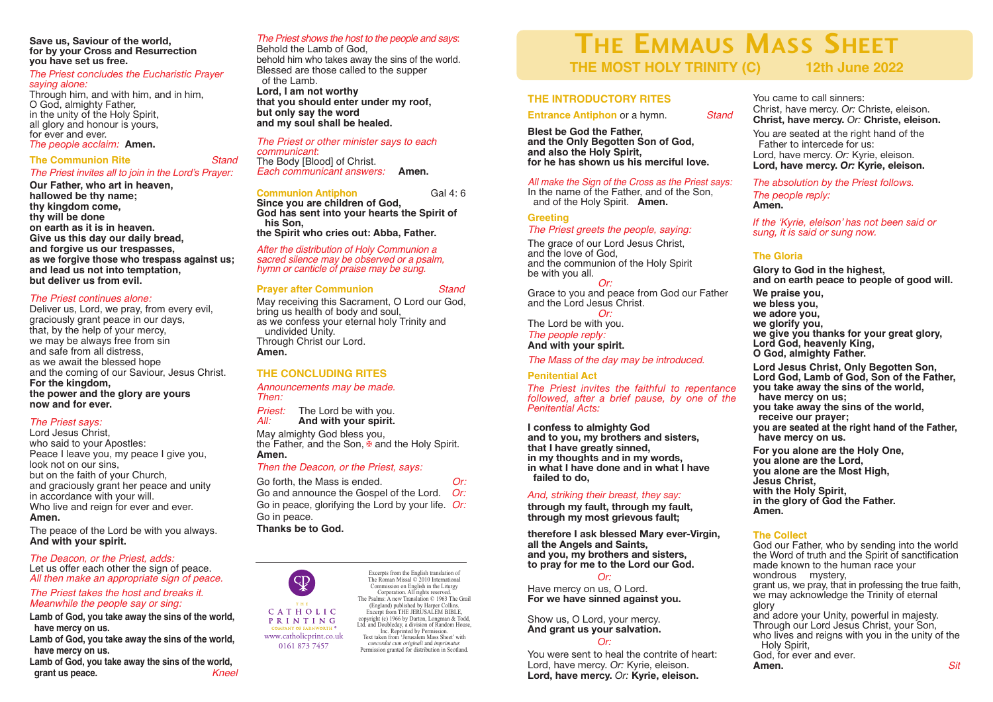**Save us, Saviour of the world, for by your Cross and Resurrection you have set us free.**

#### *The Priest concludes the Eucharistic Prayer saying alone:*

Through him, and with him, and in him, O God, almighty Father, in the unity of the Holy Spirit, all glory and honour is yours,<br>for ever and ever.

#### *fine people acclaim:* **Amen.**

**The Communion Rite** *Stand*

#### *The Priest invites all to join in the Lord's Prayer:*

**Our Father, who art in heaven,**

**hallowed be thy name; thy kingdom come, thy will be done on earth as it is in heaven. Give us this day our daily bread, and forgive us our trespasses, as we forgive those who trespass against us; and lead us not into temptation, but deliver us from evil.**

#### *The Priest continues alone:*

Deliver us, Lord, we pray, from every evil, graciously grant peace in our days, that, by the help of your mercy, we may be always free from sin and safe from all distress, as we await the blessed hope and the coming of our Saviour, Jesus Christ. **For the kingdom, the power and the glory are yours now and for ever.**

# *The Priest says:*

Lord Jesus Christ, who said to your Apostles: Peace I leave you, my peace I give you, look not on our sins, but on the faith of your Church, and graciously grant her peace and unity in accordance with your will. Who live and reign for ever and ever. **Amen.**

The peace of the Lord be with you always. **And with your spirit.**

#### *The Deacon, or the Priest, adds:* Let us offer each other the sign of peace. *All then make an appropriate sign of peace.*

# *The Priest takes the host and breaks it. Meanwhile the people say or sing:*

**Lamb of God, you take away the sins of the world, have mercy on us.**

**Lamb of God, you take away the sins of the world, have mercy on us.**

**Lamb of God, you take away the sins of the world, grant** us peace.

#### *The Priest shows the host to the people and says*:

Behold the Lamb of God, behold him who takes away the sins of the world. Blessed are those called to the supper of the Lamb. **Lord, I am not worthy that you should enter under my roof, but only say the word and my soul shall be healed.**

*The Priest or other minister says to each communicant*: The Body [Blood] of Christ. *Each communicant answers:* **Amen.**

#### **Communion Antiphon** Gal 4: 6

**Since you are children of God, God has sent into your hearts the Spirit of his Son, the Spirit who cries out: Abba, Father.**

*After the distribution of Holy Communion a sacred silence may be observed or <sup>a</sup> psalm, hymn or canticle of praise may be sung.*

# **Prayer after Communion** *Stand*

May receiving this Sacrament, O Lord our God, bring us health of body and soul, as we confess your eternal holy Trinity and undivided Unity. Through Christ our Lord. **Amen.**

# **THE CONCLUDING RITES**

*Announcements may be made. Then:*

*Priest:* The Lord be with you. *All:* **And with your spirit.**

May almighty God bless you, the Father, and the Son,  $\frac{w}{w}$  and the Holy Spirit. **Amen.**

#### *Then the Deacon, or the Priest, says:*

Go forth, the Mass is ended. *Or:*<br>Go and announce the Gospel of the Lord. *Or:* Go and announce the Gospel of the Lord. Go in peace, glorifying the Lord by your life. *Or:* Go in peace. **Thanks be to God.**



www.catholicprint.co.uk 0161 873 7457

Commission on English in the Liturgy Corporation. All rights reserved. The Psalms: A new Translation © 1963 The Grail (England) published by Harper Collins. Excernt from THE JERUSALEM BIBLE copyright (c) 1966 by Darton, Longman & Todd, Ltd. and Doubleday, a division of Random House, Inc. Reprinted by Permission. Text taken from 'Jerusalem Mass Sheet' with *concordat cum originali* and *imprimatur.* Permission granted for distribution in Scotland.

Excerpts from the English translation of The Roman Missal © 2010 International

# **THE EMMAUS MASS SHEET THE MOST HOLY TRINITY (C) 12th June 2022**

#### **THE INTRODUCTORY RITES**

**Entrance Antiphon** or a hymn. *Stand*

**Blest be God the Father, and the Only Begotten Son of God, and also the Holy Spirit, for he has shown us his merciful love.**

# *All make the Sign of the Cross as the Priest says:*

In the name of the Father, and of the Son, and of the Holy Spirit. **Amen.**

# **Greeting** *The Priest greets the people, saying:*

The grace of our Lord Jesus Christ. and the love of God, and the communion of the Holy Spirit be with you all.

*Or:* Grace to you and peace from God our Father and the Lord Jesus Christ. *Or:*

The Lord be with you.

#### *The people reply:* **And with your spirit.**

*The Mass of the day may be introduced.*

## **Penitential Act**

*The Priest invites the faithful to repentance followed, after a brief pause, by one of the Penitential Acts:*

**I confess to almighty God and to you, my brothers and sisters, that I have greatly sinned, in my thoughts and in my words, in what I have done and in what I have failed to do,**

# *And, striking their breast, they say:*

**through my fault, through my fault, through my most grievous fault;**

**therefore I ask blessed Mary ever-Virgin, all the Angels and Saints, and you, my brothers and sisters, to pray for me to the Lord our God.**

#### *Or:*

Have mercy on us, O Lord. **For we have sinned against you.**

# Show us, O Lord, your mercy. **And grant us your salvation.**

*Or:*

You were sent to heal the contrite of heart: Lord, have mercy. *Or:* Kyrie, eleison. **Lord, have mercy.** *Or:* **Kyrie, eleison.**

You came to call sinners: Christ, have mercy. *Or:* Christe, eleison. **Christ, have mercy.** *Or:* **Christe, eleison.**

You are seated at the right hand of the Father to intercede for us: Lord, have mercy. *Or:* Kyrie, eleison. **Lord, have mercy.** *Or:* **Kyrie, eleison.**

*The absolution by the Priest follows. The people reply:* **Amen.**

*If the 'Kyrie, eleison' has not been said or sung, it is said or sung now.*

# **The Gloria**

**Glory to God in the highest, and on earth peace to people of good will. We praise you, we bless you, we adore you, we glorify you, we give you thanks for your great glory, Lord God, heavenly King, O God, almighty Father.**

**Lord Jesus Christ, Only Begotten Son, Lord God, Lamb of God, Son of the Father, you take away the sins of the world, have mercy on us;**

**you take away the sins of the world, receive our prayer; you are seated at the right hand of the Father,**

**have mercy on us.**

**For you alone are the Holy One, you alone are the Lord, you alone are the Most High, Jesus Christ, with the Holy Spirit, in the glory of God the Father. Amen.**

## **The Collect**

God our Father, who by sending into the world the Word of truth and the Spirit of sanctification made known to the human race your wondrous mystery, grant us, we pray, that in professing the true faith, we may acknowledge the Trinity of eternal glory and adore your Unity, powerful in majesty. Through our Lord Jesus Christ, your Son, who lives and reigns with you in the unity of the Holy Spirit, God, for ever and ever. **Amen.** *Sit*